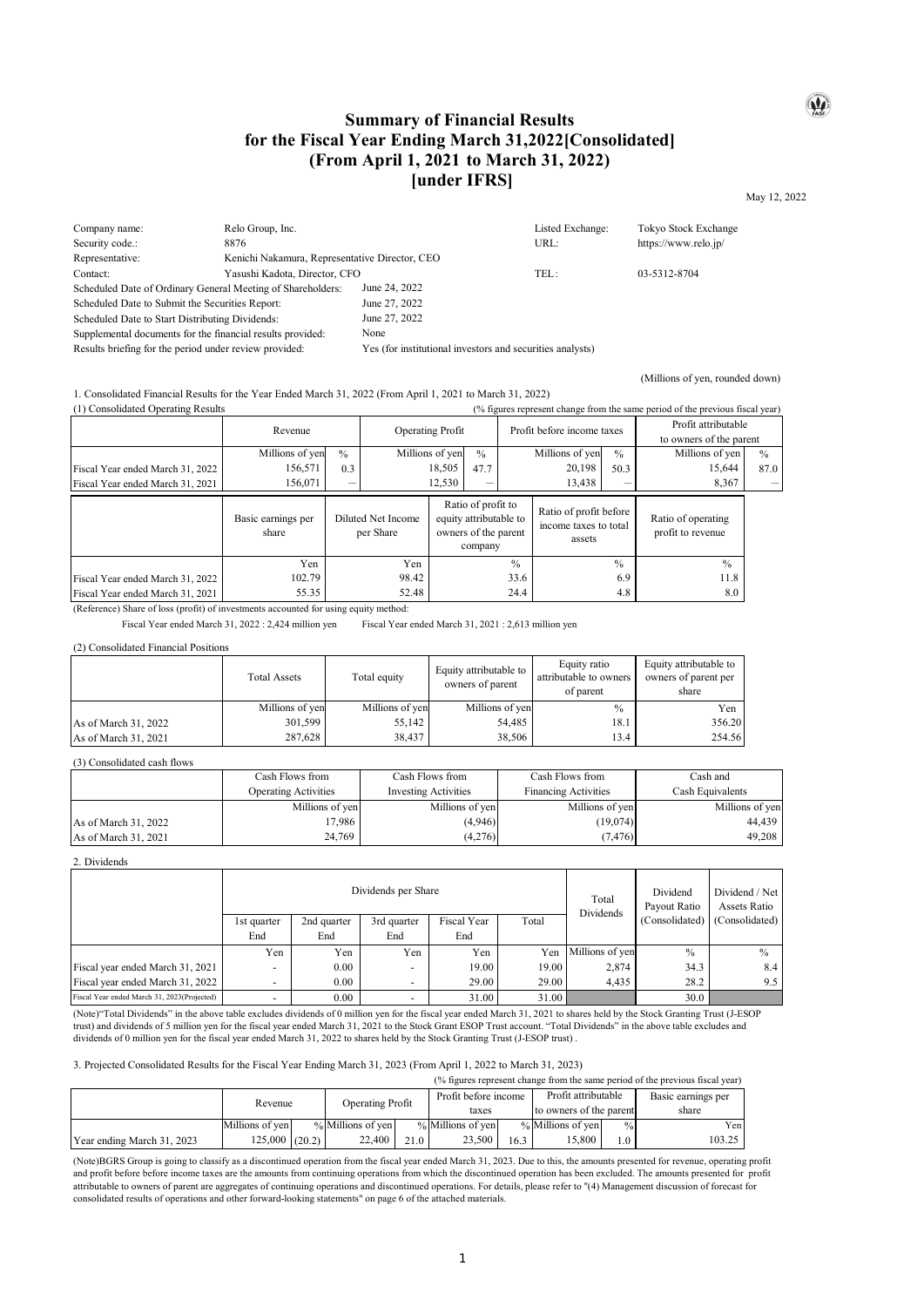## **Summary of Financial Results for the Fiscal Year Ending March 31,2022[Consolidated] (From April 1, 2021 to March 31, 2022) [under IFRS]**

May 12, 2022

 $\omega$ 

(Millions of yen, rounded down)

| Company name:                                               | Relo Group, Inc.                               |                                                           | Listed Exchange: | Tokyo Stock Exchange |  |
|-------------------------------------------------------------|------------------------------------------------|-----------------------------------------------------------|------------------|----------------------|--|
| Security code.:                                             | 8876                                           |                                                           | URL:             | https://www.relo.jp/ |  |
| Representative:                                             | Kenichi Nakamura, Representative Director, CEO |                                                           |                  |                      |  |
| Contact:                                                    | Yasushi Kadota, Director, CFO                  |                                                           | TEL:             | 03-5312-8704         |  |
| Scheduled Date of Ordinary General Meeting of Shareholders: |                                                | June 24, 2022                                             |                  |                      |  |
| Scheduled Date to Submit the Securities Report:             |                                                | June 27, 2022                                             |                  |                      |  |
| Scheduled Date to Start Distributing Dividends:             |                                                | June 27, 2022                                             |                  |                      |  |
| Supplemental documents for the financial results provided:  |                                                | None                                                      |                  |                      |  |
| Results briefing for the period under review provided:      |                                                | Yes (for institutional investors and securities analysts) |                  |                      |  |

## 1. Consolidated Financial Results for the Year Ended March 31, 2022 (From April 1, 2021 to March 31, 2022)

| (1) Consolidated Operating Results |                             |               |                                                                                                                    |                 |               | (% figures represent change from the same period of the previous fiscal year) |                 |                                         |                                                |               |
|------------------------------------|-----------------------------|---------------|--------------------------------------------------------------------------------------------------------------------|-----------------|---------------|-------------------------------------------------------------------------------|-----------------|-----------------------------------------|------------------------------------------------|---------------|
|                                    | Revenue                     |               | <b>Operating Profit</b>                                                                                            |                 |               | Profit before income taxes                                                    |                 |                                         | Profit attributable<br>to owners of the parent |               |
|                                    | Millions of yen             | $\frac{0}{0}$ |                                                                                                                    | Millions of yen | $\frac{0}{0}$ |                                                                               | Millions of yen | $\frac{0}{0}$                           | Millions of yen                                | $\frac{0}{0}$ |
| Fiscal Year ended March 31, 2022   | 156,571                     | 0.3           |                                                                                                                    | 18,505          | 47.7          |                                                                               | 20,198          | 50.3                                    | 15,644                                         | 87.0          |
| Fiscal Year ended March 31, 2021   | 156,071                     |               |                                                                                                                    | 12,530          |               |                                                                               | 13,438          |                                         | 8,367                                          |               |
|                                    | Basic earnings per<br>share |               | Ratio of profit to<br>Diluted Net Income<br>equity attributable to<br>owners of the parent<br>per Share<br>company |                 |               | Ratio of profit before<br>income taxes to total<br>assets                     |                 | Ratio of operating<br>profit to revenue |                                                |               |
|                                    | Yen                         |               | Yen                                                                                                                |                 |               | $\frac{0}{0}$                                                                 |                 | $^{0}/_{0}$                             | $\frac{0}{0}$                                  |               |
| Fiscal Year ended March 31, 2022   | 102.79                      |               | 98.42                                                                                                              |                 |               | 33.6                                                                          |                 | 6.9                                     | 11.8                                           |               |
| Fiscal Year ended March 31, 2021   | 55.35                       |               | 52.48                                                                                                              |                 |               | 24.4                                                                          |                 | 4.8                                     | 8.0                                            |               |

(Reference) Share of loss (profit) of investments accounted for using equity method:

Fiscal Year ended March 31, 2022 : 2,424 million yen Fiscal Year ended March 31, 2021 : 2,613 million yen

#### (2) Consolidated Financial Positions

|                      | <b>Total Assets</b> | Total equity    | Equity attributable to<br>owners of parent | Equity ratio<br>attributable to owners<br>of parent | Equity attributable to<br>owners of parent per<br>share |
|----------------------|---------------------|-----------------|--------------------------------------------|-----------------------------------------------------|---------------------------------------------------------|
|                      | Millions of yen     | Millions of yen | Millions of yen                            | $\frac{0}{0}$                                       | Yen                                                     |
| As of March 31, 2022 | 301,599             | 55,142          | 54,485                                     | 18.1                                                | 356.20                                                  |
| As of March 31, 2021 | 287,628             | 38,437          | 38,506                                     | 13.4                                                | 254.56                                                  |

#### (3) Consolidated cash flows

|                      | Cash Flows from             | Cash Flows from             | Cash Flows from             | Cash and         |
|----------------------|-----------------------------|-----------------------------|-----------------------------|------------------|
|                      | <b>Operating Activities</b> | <b>Investing Activities</b> | <b>Financing Activities</b> | Cash Equivalents |
|                      | Millions of yen             | Millions of yen             | Millions of yen             | Millions of yen  |
| As of March 31, 2022 | 17.986                      | (4,946)                     | (19,074)                    | 44.439           |
| As of March 31, 2021 | 24.769                      | (4,276)                     | (7, 476)                    | 49.208           |

#### 2. Dividends

|                                             | Dividends per Share      |             |             |             |       | Total<br>Dividends | Dividend<br>Payout Ratio | Dividend / Net<br>Assets Ratio |
|---------------------------------------------|--------------------------|-------------|-------------|-------------|-------|--------------------|--------------------------|--------------------------------|
|                                             | 1st quarter              | 2nd quarter | 3rd quarter | Fiscal Year | Total |                    | (Consolidated)           | (Consolidated)                 |
|                                             | End                      | End         | End         | End         |       |                    |                          |                                |
|                                             | Yen                      | Yen         | Yen         | Yen         | Yen   | Millions of yen    | $\frac{0}{0}$            | $\frac{0}{0}$                  |
| Fiscal year ended March 31, 2021            | $\overline{\phantom{a}}$ | 0.00        | -           | 19.00       | 19.00 | 2,874              | 34.3                     | 8.4                            |
| Fiscal year ended March 31, 2022            | $\overline{\phantom{a}}$ | 0.00        |             | 29.00       | 29.00 | 4.435              | 28.2                     | 9.5                            |
| Fiscal Year ended March 31, 2023(Projected) |                          | 0.00        |             | 31.00       | 31.00 |                    | 30.0                     |                                |

(Note)"Total Dividends" in the above table excludes dividends of 0 million yen for the fiscal year ended March 31, 2021 to shares held by the Stock Granting Trust (J-ESOP trust) and dividends of 5 million yen for the fiscal year ended March 31, 2021 to the Stock Grant ESOP Trust account. "Total Dividends" in the above table excludes and dividends of 0 million yen for the fiscal year ended March 31, 2022 to shares held by the Stock Granting Trust (J-ESOP trust) .

## 3. Projected Consolidated Results for the Fiscal Year Ending March 31, 2023 (From April 1, 2022 to March 31, 2023)

|                            |                  |  |                     |                         |                   |                      |                         |                     | (% figures represent change from the same period of the previous fiscal year) |
|----------------------------|------------------|--|---------------------|-------------------------|-------------------|----------------------|-------------------------|---------------------|-------------------------------------------------------------------------------|
|                            | Revenue          |  |                     | <b>Operating Profit</b> |                   | Profit before income |                         | Profit attributable | Basic earnings per                                                            |
|                            |                  |  |                     |                         | taxes             |                      | to owners of the parent |                     | share                                                                         |
|                            | Millions of ven  |  | $%$ Millions of yen |                         | % Millions of yen |                      | % Millions of ven       | $\frac{0}{0}$       | Yenl                                                                          |
| Year ending March 31, 2023 | $125,000$ (20.2) |  | 22,400              | 21.0                    | 23,500            | 16.3                 | 15.800                  | 1.0                 | 103.25                                                                        |

(Note)BGRS Group is going to classify as a discontinued operation from the fiscal year ended March 31, 2023. Due to this, the amounts presented for revenue, operating profit and profit before before income taxes are the amounts from continuing operations from which the discontinued operation has been excluded. The amounts presented for profit attributable to owners of parent are aggregates of continuing operations and discontinued operations. For details, please refer to "(4) Management discussion of forecast for attributable to owners of parent are aggregates consolidated results of operations and other forward-looking statements" on page 6 of the attached materials.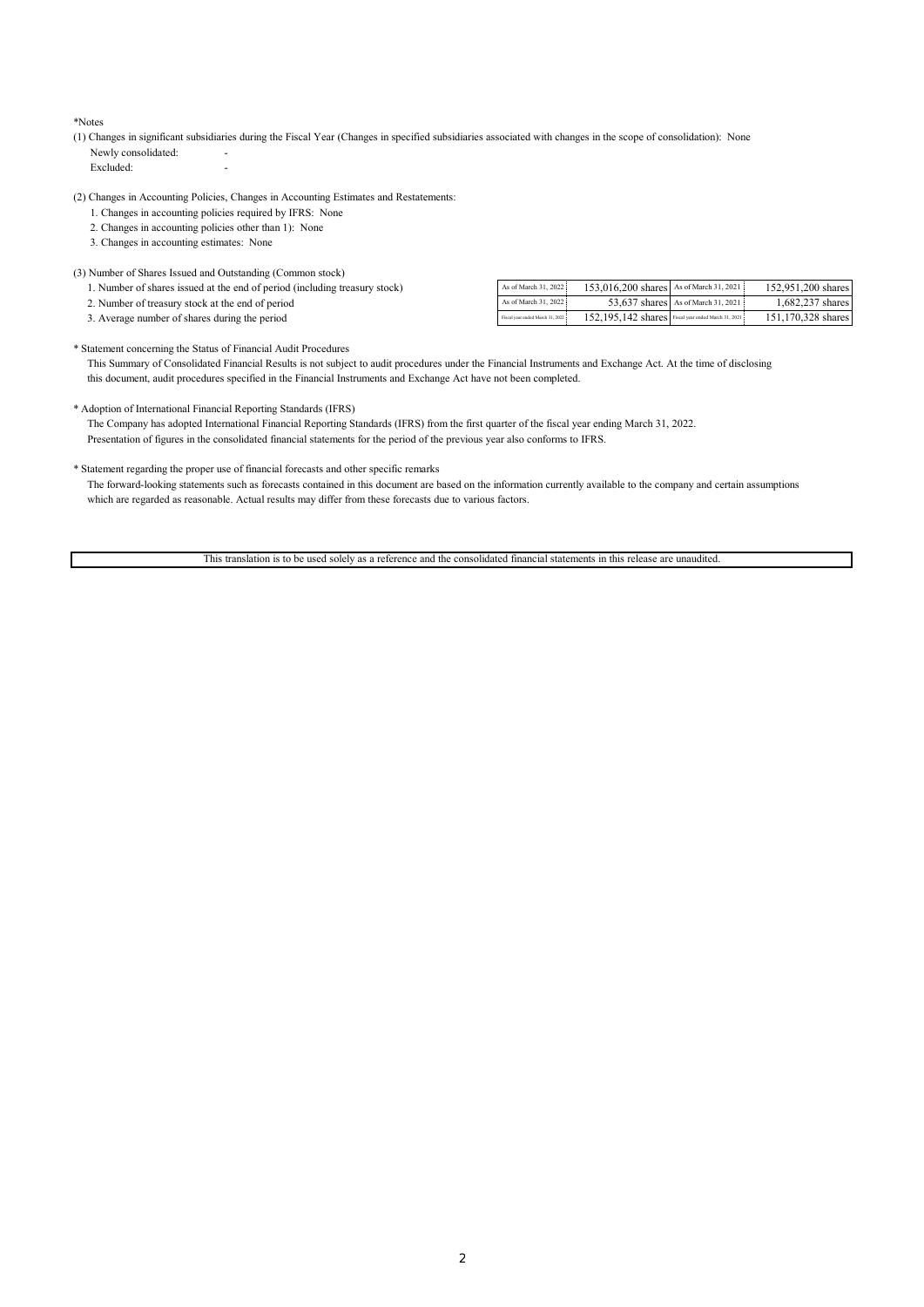#### \*Notes

(1) Changes in significant subsidiaries during the Fiscal Year (Changes in specified subsidiaries associated with changes in the scope of consolidation): None Newly consolidated:

Excluded:

(2) Changes in Accounting Policies, Changes in Accounting Estimates and Restatements:

- 1. Changes in accounting policies required by IFRS: None
- 2. Changes in accounting policies other than 1): None
- 3. Changes in accounting estimates: None

### (3) Number of Shares Issued and Outstanding (Common stock)

| 1. Number of shares issued at the end of period (including treasury stock) | As of March 31, 2022             | 153,016,200 shares As of March 31, 2021             |                                    | 152,951,200 shares |
|----------------------------------------------------------------------------|----------------------------------|-----------------------------------------------------|------------------------------------|--------------------|
| 2. Number of treasury stock at the end of period                           | As of March 31, 2022             |                                                     | 53,637 shares As of March 31, 2021 | 1.682.237 shares   |
| 3. Average number of shares during the period                              | Fiscal year ended March 31, 2022 | 152.195.142 shares Fiscal year ended March 31, 2021 |                                    | 151,170,328 shares |
|                                                                            |                                  |                                                     |                                    |                    |

\* Statement concerning the Status of Financial Audit Procedures

 This Summary of Consolidated Financial Results is not subject to audit procedures under the Financial Instruments and Exchange Act. At the time of disclosing this document, audit procedures specified in the Financial Instruments and Exchange Act have not been completed.

#### \* Adoption of International Financial Reporting Standards (IFRS)

 The Company has adopted International Financial Reporting Standards (IFRS) from the first quarter of the fiscal year ending March 31, 2022. Presentation of figures in the consolidated financial statements for the period of the previous year also conforms to IFRS.

### \* Statement regarding the proper use of financial forecasts and other specific remarks

 The forward-looking statements such as forecasts contained in this document are based on the information currently available to the company and certain assumptions which are regarded as reasonable. Actual results may differ from these forecasts due to various factors.

This translation is to be used solely as a reference and the consolidated financial statements in this release are unaudited.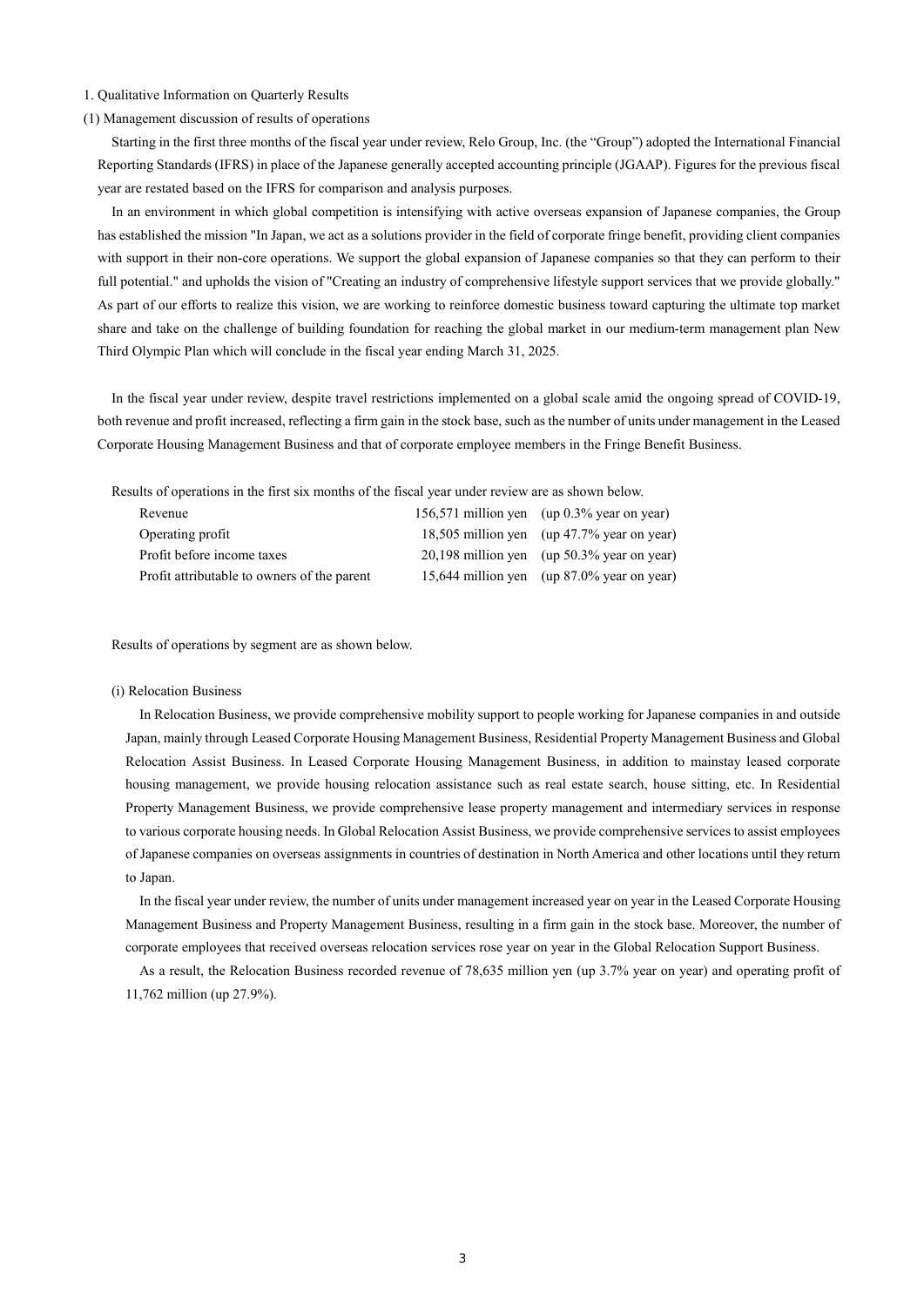## 1. Qualitative Information on Quarterly Results

### (1) Management discussion of results of operations

Starting in the first three months of the fiscal year under review, Relo Group, Inc. (the "Group") adopted the International Financial Reporting Standards (IFRS) in place of the Japanese generally accepted accounting principle (JGAAP). Figures for the previous fiscal year are restated based on the IFRS for comparison and analysis purposes.

In an environment in which global competition is intensifying with active overseas expansion of Japanese companies, the Group has established the mission "In Japan, we act as a solutions provider in the field of corporate fringe benefit, providing client companies with support in their non-core operations. We support the global expansion of Japanese companies so that they can perform to their full potential." and upholds the vision of "Creating an industry of comprehensive lifestyle support services that we provide globally." As part of our efforts to realize this vision, we are working to reinforce domestic business toward capturing the ultimate top market share and take on the challenge of building foundation for reaching the global market in our medium-term management plan New Third Olympic Plan which will conclude in the fiscal year ending March 31, 2025.

In the fiscal year under review, despite travel restrictions implemented on a global scale amid the ongoing spread of COVID-19, both revenue and profit increased, reflecting a firm gain in the stock base, such as the number of units under management in the Leased Corporate Housing Management Business and that of corporate employee members in the Fringe Benefit Business.

Results of operations in the first six months of the fiscal year under review are as shown below.

| Revenue                                     | 156,571 million yen (up 0.3% year on year)   |
|---------------------------------------------|----------------------------------------------|
| Operating profit                            | 18,505 million yen (up 47.7% year on year)   |
| Profit before income taxes                  | $20,198$ million yen (up 50.3% year on year) |
| Profit attributable to owners of the parent | 15,644 million yen (up 87.0% year on year)   |

Results of operations by segment are as shown below.

### (i) Relocation Business

In Relocation Business, we provide comprehensive mobility support to people working for Japanese companies in and outside Japan, mainly through Leased Corporate Housing Management Business, Residential Property Management Business and Global Relocation Assist Business. In Leased Corporate Housing Management Business, in addition to mainstay leased corporate housing management, we provide housing relocation assistance such as real estate search, house sitting, etc. In Residential Property Management Business, we provide comprehensive lease property management and intermediary services in response to various corporate housing needs. In Global Relocation Assist Business, we provide comprehensive services to assist employees of Japanese companies on overseas assignments in countries of destination in North America and other locations until they return to Japan.

In the fiscal year under review, the number of units under management increased year on year in the Leased Corporate Housing Management Business and Property Management Business, resulting in a firm gain in the stock base. Moreover, the number of corporate employees that received overseas relocation services rose year on year in the Global Relocation Support Business.

As a result, the Relocation Business recorded revenue of 78,635 million yen (up 3.7% year on year) and operating profit of 11,762 million (up 27.9%).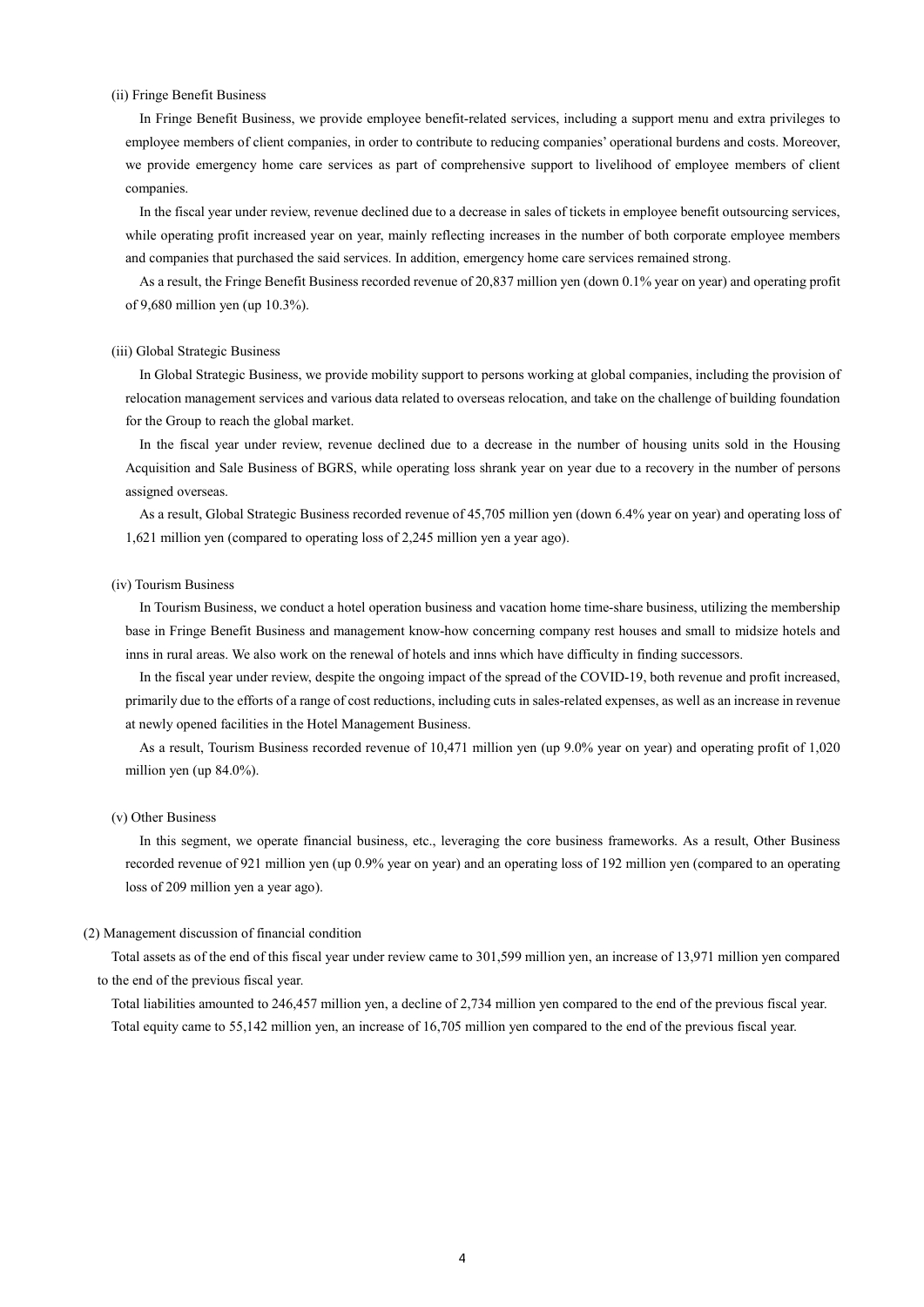## (ii) Fringe Benefit Business

In Fringe Benefit Business, we provide employee benefit-related services, including a support menu and extra privileges to employee members of client companies, in order to contribute to reducing companies' operational burdens and costs. Moreover, we provide emergency home care services as part of comprehensive support to livelihood of employee members of client companies.

In the fiscal year under review, revenue declined due to a decrease in sales of tickets in employee benefit outsourcing services, while operating profit increased year on year, mainly reflecting increases in the number of both corporate employee members and companies that purchased the said services. In addition, emergency home care services remained strong.

As a result, the Fringe Benefit Business recorded revenue of 20,837 million yen (down 0.1% year on year) and operating profit of 9,680 million yen (up 10.3%).

#### (iii) Global Strategic Business

In Global Strategic Business, we provide mobility support to persons working at global companies, including the provision of relocation management services and various data related to overseas relocation, and take on the challenge of building foundation for the Group to reach the global market.

In the fiscal year under review, revenue declined due to a decrease in the number of housing units sold in the Housing Acquisition and Sale Business of BGRS, while operating loss shrank year on year due to a recovery in the number of persons assigned overseas.

As a result, Global Strategic Business recorded revenue of 45,705 million yen (down 6.4% year on year) and operating loss of 1,621 million yen (compared to operating loss of 2,245 million yen a year ago).

## (iv) Tourism Business

In Tourism Business, we conduct a hotel operation business and vacation home time-share business, utilizing the membership base in Fringe Benefit Business and management know-how concerning company rest houses and small to midsize hotels and inns in rural areas. We also work on the renewal of hotels and inns which have difficulty in finding successors.

In the fiscal year under review, despite the ongoing impact of the spread of the COVID-19, both revenue and profit increased, primarily due to the efforts of a range of cost reductions, including cuts in sales-related expenses, as well as an increase in revenue at newly opened facilities in the Hotel Management Business.

As a result, Tourism Business recorded revenue of 10,471 million yen (up 9.0% year on year) and operating profit of 1,020 million yen (up 84.0%).

### (v) Other Business

In this segment, we operate financial business, etc., leveraging the core business frameworks. As a result, Other Business recorded revenue of 921 million yen (up 0.9% year on year) and an operating loss of 192 million yen (compared to an operating loss of 209 million yen a year ago).

## (2) Management discussion of financial condition

Total assets as of the end of this fiscal year under review came to 301,599 million yen, an increase of 13,971 million yen compared to the end of the previous fiscal year.

Total liabilities amounted to 246,457 million yen, a decline of 2,734 million yen compared to the end of the previous fiscal year. Total equity came to 55,142 million yen, an increase of 16,705 million yen compared to the end of the previous fiscal year.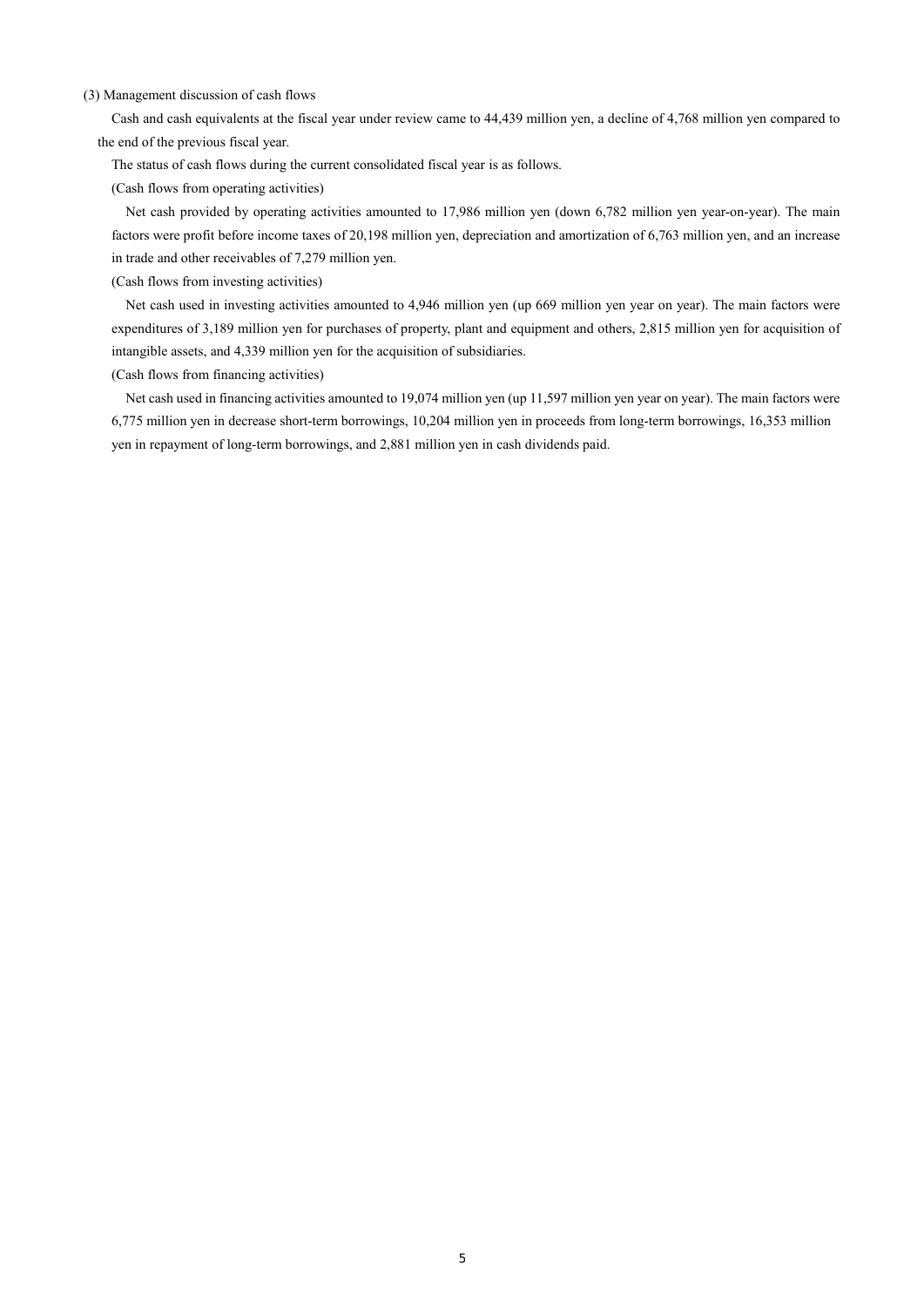## (3) Management discussion of cash flows

Cash and cash equivalents at the fiscal year under review came to 44,439 million yen, a decline of 4,768 million yen compared to the end of the previous fiscal year.

The status of cash flows during the current consolidated fiscal year is as follows.

(Cash flows from operating activities)

 Net cash provided by operating activities amounted to 17,986 million yen (down 6,782 million yen year-on-year). The main factors were profit before income taxes of 20,198 million yen, depreciation and amortization of 6,763 million yen, and an increase in trade and other receivables of 7,279 million yen.

(Cash flows from investing activities)

 Net cash used in investing activities amounted to 4,946 million yen (up 669 million yen year on year). The main factors were expenditures of 3,189 million yen for purchases of property, plant and equipment and others, 2,815 million yen for acquisition of intangible assets, and 4,339 million yen for the acquisition of subsidiaries.

(Cash flows from financing activities)

 Net cash used in financing activities amounted to 19,074 million yen (up 11,597 million yen year on year). The main factors were 6,775 million yen in decrease short-term borrowings, 10,204 million yen in proceeds from long-term borrowings, 16,353 million yen in repayment of long-term borrowings, and 2,881 million yen in cash dividends paid.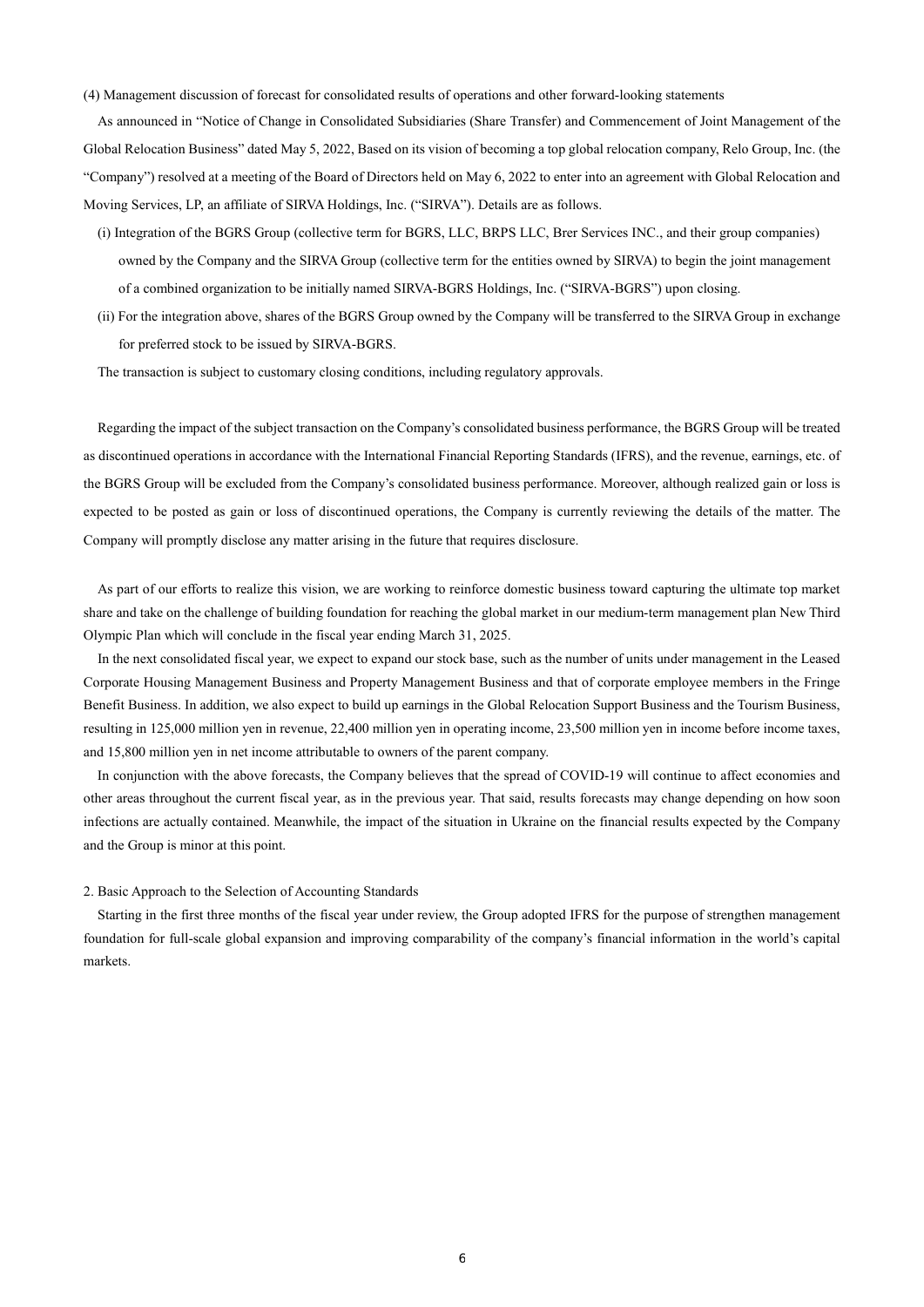(4) Management discussion of forecast for consolidated results of operations and other forward-looking statements

As announced in "Notice of Change in Consolidated Subsidiaries (Share Transfer) and Commencement of Joint Management of the Global Relocation Business" dated May 5, 2022, Based on its vision of becoming a top global relocation company, Relo Group, Inc. (the "Company") resolved at a meeting of the Board of Directors held on May 6, 2022 to enter into an agreement with Global Relocation and Moving Services, LP, an affiliate of SIRVA Holdings, Inc. ("SIRVA"). Details are as follows.

- (i) Integration of the BGRS Group (collective term for BGRS, LLC, BRPS LLC, Brer Services INC., and their group companies) owned by the Company and the SIRVA Group (collective term for the entities owned by SIRVA) to begin the joint management of a combined organization to be initially named SIRVA-BGRS Holdings, Inc. ("SIRVA-BGRS") upon closing.
- (ii) For the integration above, shares of the BGRS Group owned by the Company will be transferred to the SIRVA Group in exchange for preferred stock to be issued by SIRVA-BGRS.

The transaction is subject to customary closing conditions, including regulatory approvals.

Regarding the impact of the subject transaction on the Company's consolidated business performance, the BGRS Group will be treated as discontinued operations in accordance with the International Financial Reporting Standards (IFRS), and the revenue, earnings, etc. of the BGRS Group will be excluded from the Company's consolidated business performance. Moreover, although realized gain or loss is expected to be posted as gain or loss of discontinued operations, the Company is currently reviewing the details of the matter. The Company will promptly disclose any matter arising in the future that requires disclosure.

As part of our efforts to realize this vision, we are working to reinforce domestic business toward capturing the ultimate top market share and take on the challenge of building foundation for reaching the global market in our medium-term management plan New Third Olympic Plan which will conclude in the fiscal year ending March 31, 2025.

In the next consolidated fiscal year, we expect to expand our stock base, such as the number of units under management in the Leased Corporate Housing Management Business and Property Management Business and that of corporate employee members in the Fringe Benefit Business. In addition, we also expect to build up earnings in the Global Relocation Support Business and the Tourism Business, resulting in 125,000 million yen in revenue, 22,400 million yen in operating income, 23,500 million yen in income before income taxes, and 15,800 million yen in net income attributable to owners of the parent company.

In conjunction with the above forecasts, the Company believes that the spread of COVID-19 will continue to affect economies and other areas throughout the current fiscal year, as in the previous year. That said, results forecasts may change depending on how soon infections are actually contained. Meanwhile, the impact of the situation in Ukraine on the financial results expected by the Company and the Group is minor at this point.

### 2. Basic Approach to the Selection of Accounting Standards

Starting in the first three months of the fiscal year under review, the Group adopted IFRS for the purpose of strengthen management foundation for full-scale global expansion and improving comparability of the company's financial information in the world's capital markets.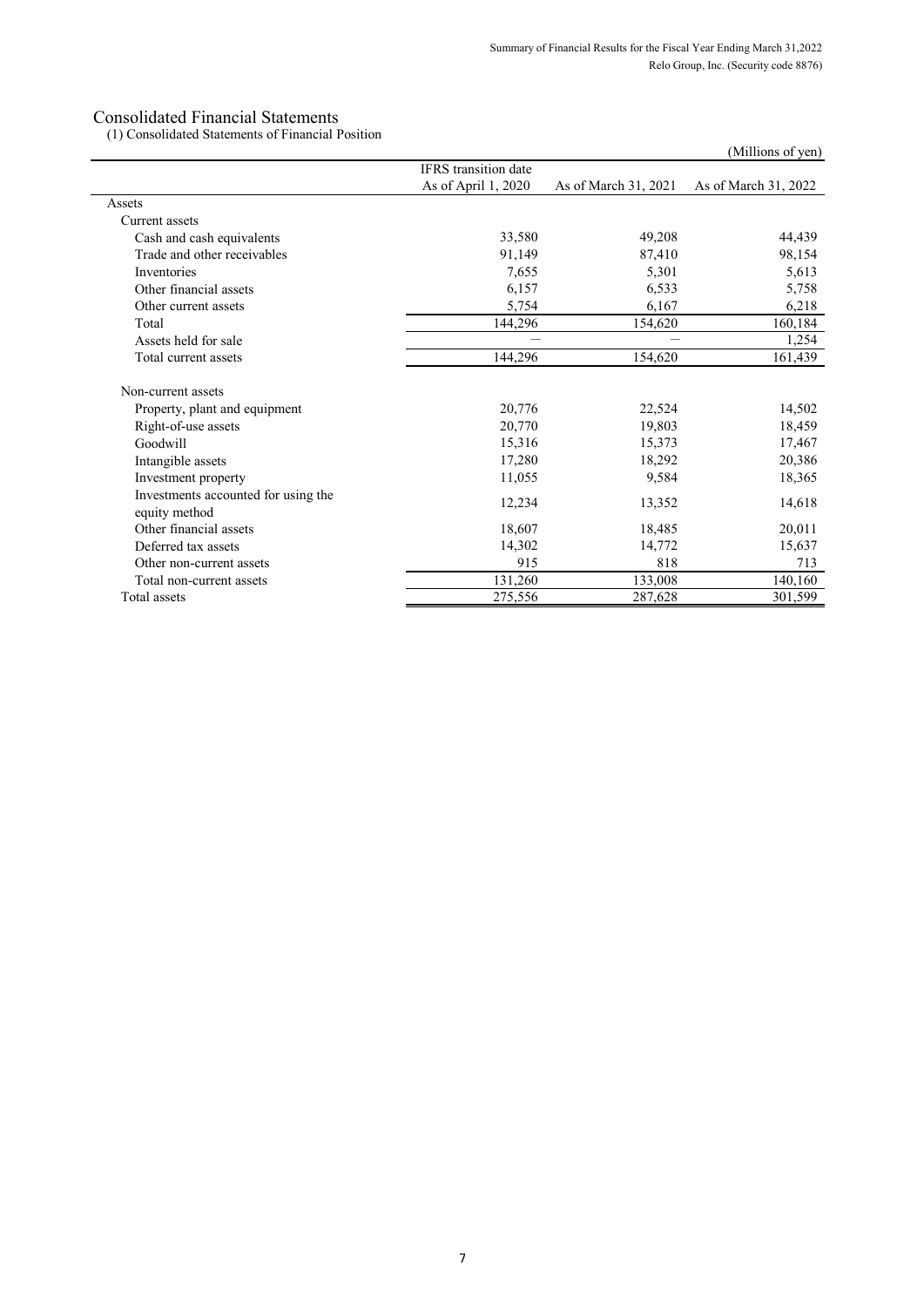(1) Consolidated Statements of Financial Position

| (1) Consolidated Statements of Financial Position    |                             |                      | (Millions of yen)    |
|------------------------------------------------------|-----------------------------|----------------------|----------------------|
|                                                      | <b>IFRS</b> transition date |                      |                      |
|                                                      | As of April 1, 2020         | As of March 31, 2021 | As of March 31, 2022 |
| Assets                                               |                             |                      |                      |
| Current assets                                       |                             |                      |                      |
| Cash and cash equivalents                            | 33,580                      | 49,208               | 44,439               |
| Trade and other receivables                          | 91,149                      | 87,410               | 98,154               |
| Inventories                                          | 7,655                       | 5,301                | 5,613                |
| Other financial assets                               | 6,157                       | 6,533                | 5,758                |
| Other current assets                                 | 5,754                       | 6,167                | 6,218                |
| Total                                                | 144,296                     | 154,620              | 160,184              |
| Assets held for sale                                 |                             |                      | 1,254                |
| Total current assets                                 | 144,296                     | 154,620              | 161,439              |
| Non-current assets                                   |                             |                      |                      |
| Property, plant and equipment                        | 20,776                      | 22,524               | 14,502               |
| Right-of-use assets                                  | 20,770                      | 19,803               | 18,459               |
| Goodwill                                             | 15,316                      | 15,373               | 17,467               |
| Intangible assets                                    | 17,280                      | 18,292               | 20,386               |
| Investment property                                  | 11,055                      | 9,584                | 18,365               |
| Investments accounted for using the<br>equity method | 12,234                      | 13,352               | 14,618               |
| Other financial assets                               | 18,607                      | 18,485               | 20,011               |
| Deferred tax assets                                  | 14,302                      | 14,772               | 15,637               |
| Other non-current assets                             | 915                         | 818                  | 713                  |
| Total non-current assets                             | 131,260                     | 133,008              | 140,160              |
| Total assets                                         | 275,556                     | 287,628              | 301,599              |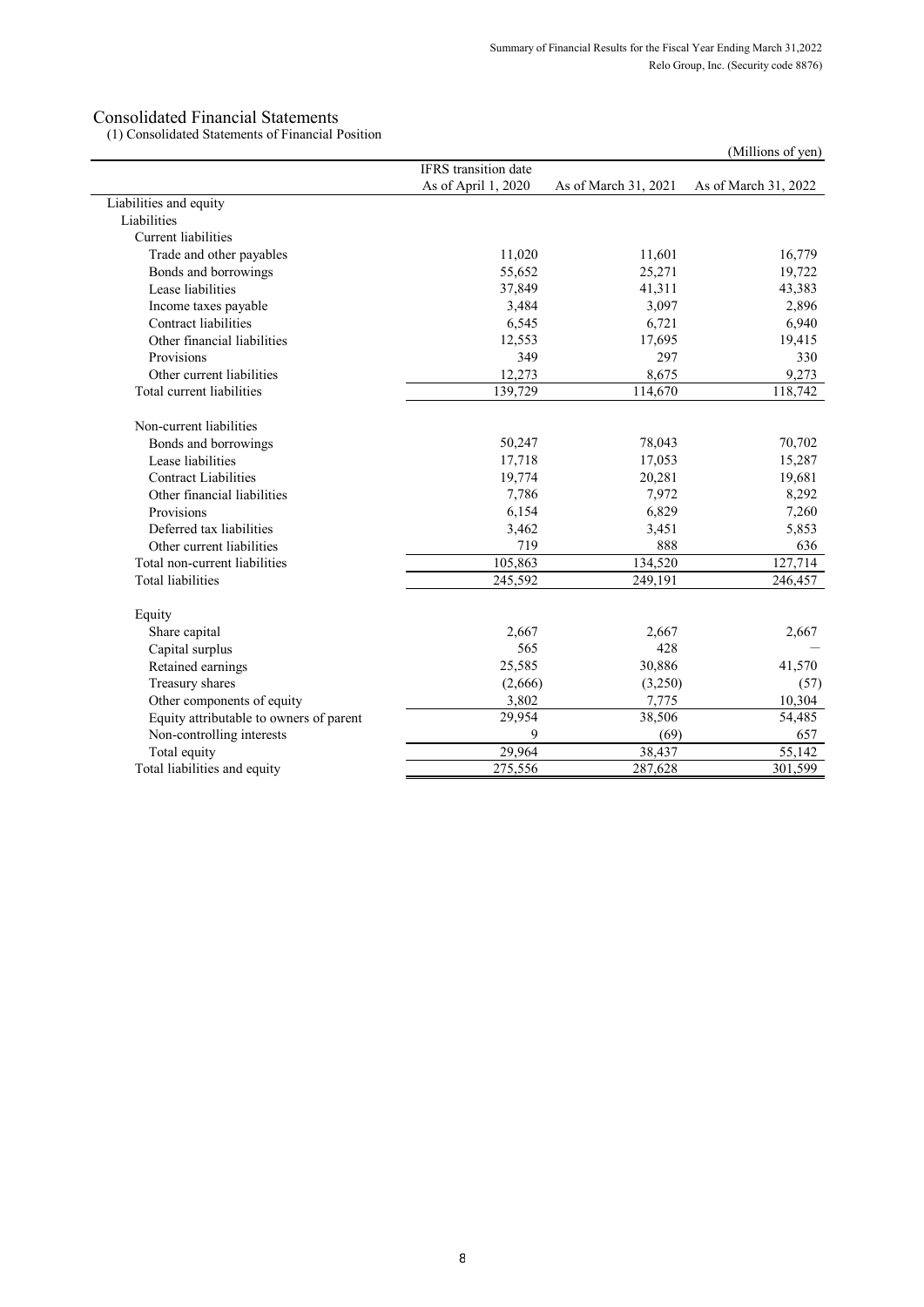(1) Consolidated Statements of Financial Position

|                                         |                             |                      | (Millions of yen)    |
|-----------------------------------------|-----------------------------|----------------------|----------------------|
|                                         | <b>IFRS</b> transition date |                      |                      |
|                                         | As of April 1, 2020         | As of March 31, 2021 | As of March 31, 2022 |
| Liabilities and equity                  |                             |                      |                      |
| Liabilities                             |                             |                      |                      |
| <b>Current liabilities</b>              |                             |                      |                      |
| Trade and other payables                | 11,020                      | 11,601               | 16,779               |
| Bonds and borrowings                    | 55,652                      | 25,271               | 19,722               |
| Lease liabilities                       | 37,849                      | 41,311               | 43,383               |
| Income taxes payable                    | 3,484                       | 3,097                | 2,896                |
| Contract liabilities                    | 6,545                       | 6,721                | 6,940                |
| Other financial liabilities             | 12,553                      | 17,695               | 19,415               |
| Provisions                              | 349                         | 297                  | 330                  |
| Other current liabilities               | 12,273                      | 8,675                | 9,273                |
| Total current liabilities               | 139,729                     | 114,670              | 118,742              |
| Non-current liabilities                 |                             |                      |                      |
| Bonds and borrowings                    | 50,247                      | 78,043               | 70,702               |
| Lease liabilities                       | 17,718                      | 17,053               | 15,287               |
| <b>Contract Liabilities</b>             | 19,774                      | 20,281               | 19,681               |
| Other financial liabilities             | 7,786                       | 7,972                | 8,292                |
| Provisions                              | 6,154                       | 6,829                | 7,260                |
| Deferred tax liabilities                | 3,462                       | 3,451                | 5,853                |
| Other current liabilities               | 719                         | 888                  | 636                  |
| Total non-current liabilities           | 105,863                     | 134,520              | 127,714              |
| <b>Total liabilities</b>                | 245,592                     | 249,191              | 246,457              |
| Equity                                  |                             |                      |                      |
| Share capital                           | 2,667                       | 2,667                | 2,667                |
| Capital surplus                         | 565                         | 428                  |                      |
| Retained earnings                       | 25,585                      | 30,886               | 41,570               |
| Treasury shares                         | (2,666)                     | (3,250)              | (57)                 |
| Other components of equity              | 3,802                       | 7,775                | 10,304               |
| Equity attributable to owners of parent | 29,954                      | 38,506               | 54,485               |
| Non-controlling interests               | 9                           | (69)                 | 657                  |
| Total equity                            | 29,964                      | 38,437               | 55,142               |
| Total liabilities and equity            | 275,556                     | 287,628              | 301,599              |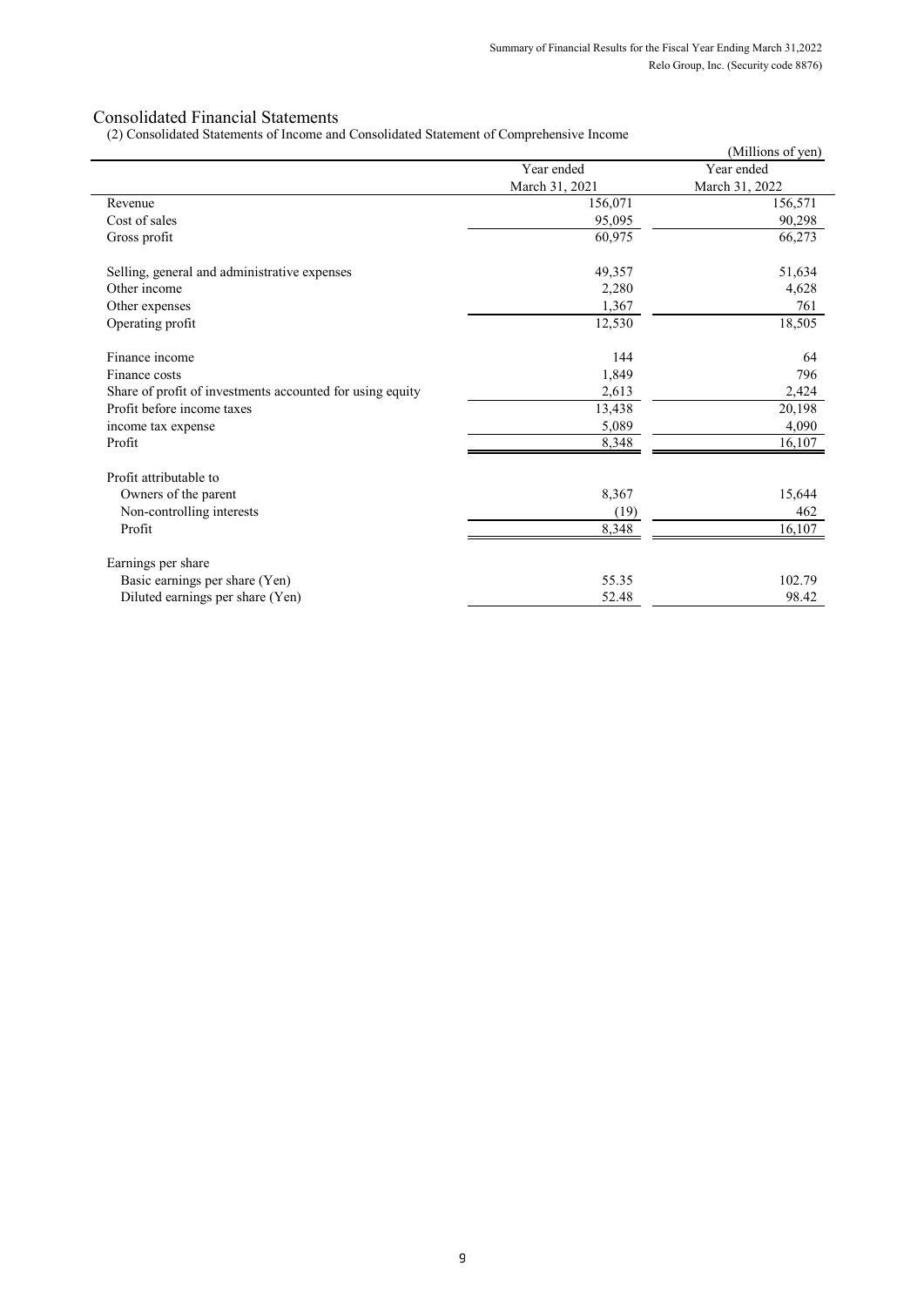(2) Consolidated Statements of Income and Consolidated Statement of Comprehensive Income

|                                                           |                | (Millions of yen) |
|-----------------------------------------------------------|----------------|-------------------|
|                                                           | Year ended     | Year ended        |
|                                                           | March 31, 2021 | March 31, 2022    |
| Revenue                                                   | 156,071        | 156,571           |
| Cost of sales                                             | 95,095         | 90,298            |
| Gross profit                                              | 60,975         | 66,273            |
| Selling, general and administrative expenses              | 49,357         | 51,634            |
| Other income                                              | 2,280          | 4,628             |
| Other expenses                                            | 1,367          | 761               |
| Operating profit                                          | 12,530         | 18,505            |
| Finance income                                            | 144            | 64                |
| Finance costs                                             | 1,849          | 796               |
| Share of profit of investments accounted for using equity | 2,613          | 2,424             |
| Profit before income taxes                                | 13,438         | 20,198            |
| income tax expense                                        | 5,089          | 4,090             |
| Profit                                                    | 8,348          | 16,107            |
| Profit attributable to                                    |                |                   |
| Owners of the parent                                      | 8,367          | 15,644            |
| Non-controlling interests                                 | (19)           | 462               |
| Profit                                                    | 8,348          | 16,107            |
| Earnings per share                                        |                |                   |
| Basic earnings per share (Yen)                            | 55.35          | 102.79            |
| Diluted earnings per share (Yen)                          | 52.48          | 98.42             |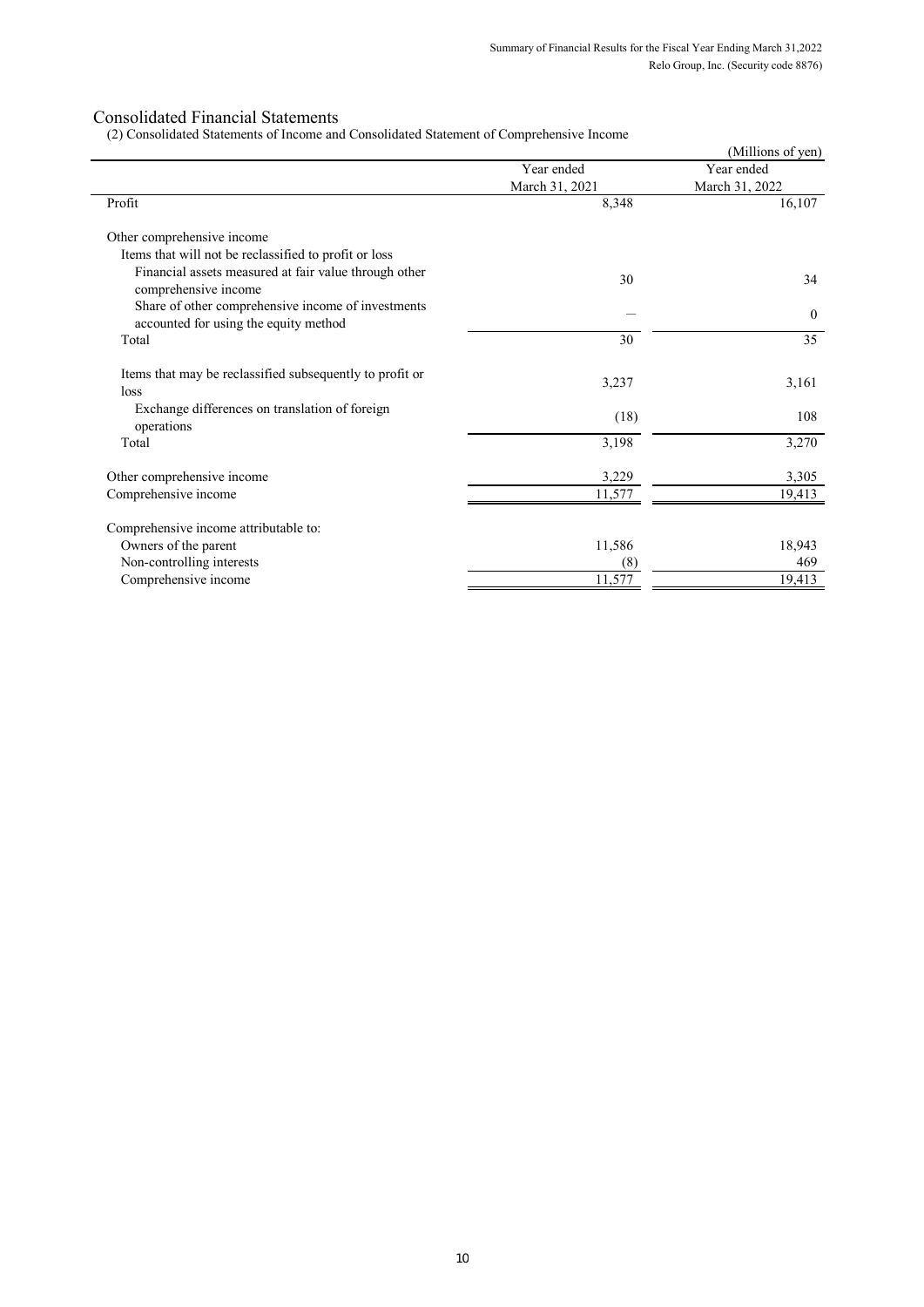(2) Consolidated Statements of Income and Consolidated Statement of Comprehensive Income

|                                                                                             |                | (Millions of yen) |
|---------------------------------------------------------------------------------------------|----------------|-------------------|
|                                                                                             | Year ended     | Year ended        |
|                                                                                             | March 31, 2021 | March 31, 2022    |
| Profit                                                                                      | 8,348          | 16,107            |
| Other comprehensive income                                                                  |                |                   |
| Items that will not be reclassified to profit or loss                                       |                |                   |
| Financial assets measured at fair value through other<br>comprehensive income               | 30             | 34                |
| Share of other comprehensive income of investments<br>accounted for using the equity method |                | $\theta$          |
| Total                                                                                       | 30             | 35                |
| Items that may be reclassified subsequently to profit or<br>loss                            | 3,237          | 3,161             |
| Exchange differences on translation of foreign<br>operations                                | (18)           | 108               |
| Total                                                                                       | 3,198          | 3,270             |
| Other comprehensive income                                                                  | 3,229          | 3,305             |
| Comprehensive income                                                                        | 11,577         | 19,413            |
| Comprehensive income attributable to:                                                       |                |                   |
| Owners of the parent                                                                        | 11,586         | 18,943            |
| Non-controlling interests                                                                   | (8)            | 469               |
| Comprehensive income                                                                        | 11,577         | 19,413            |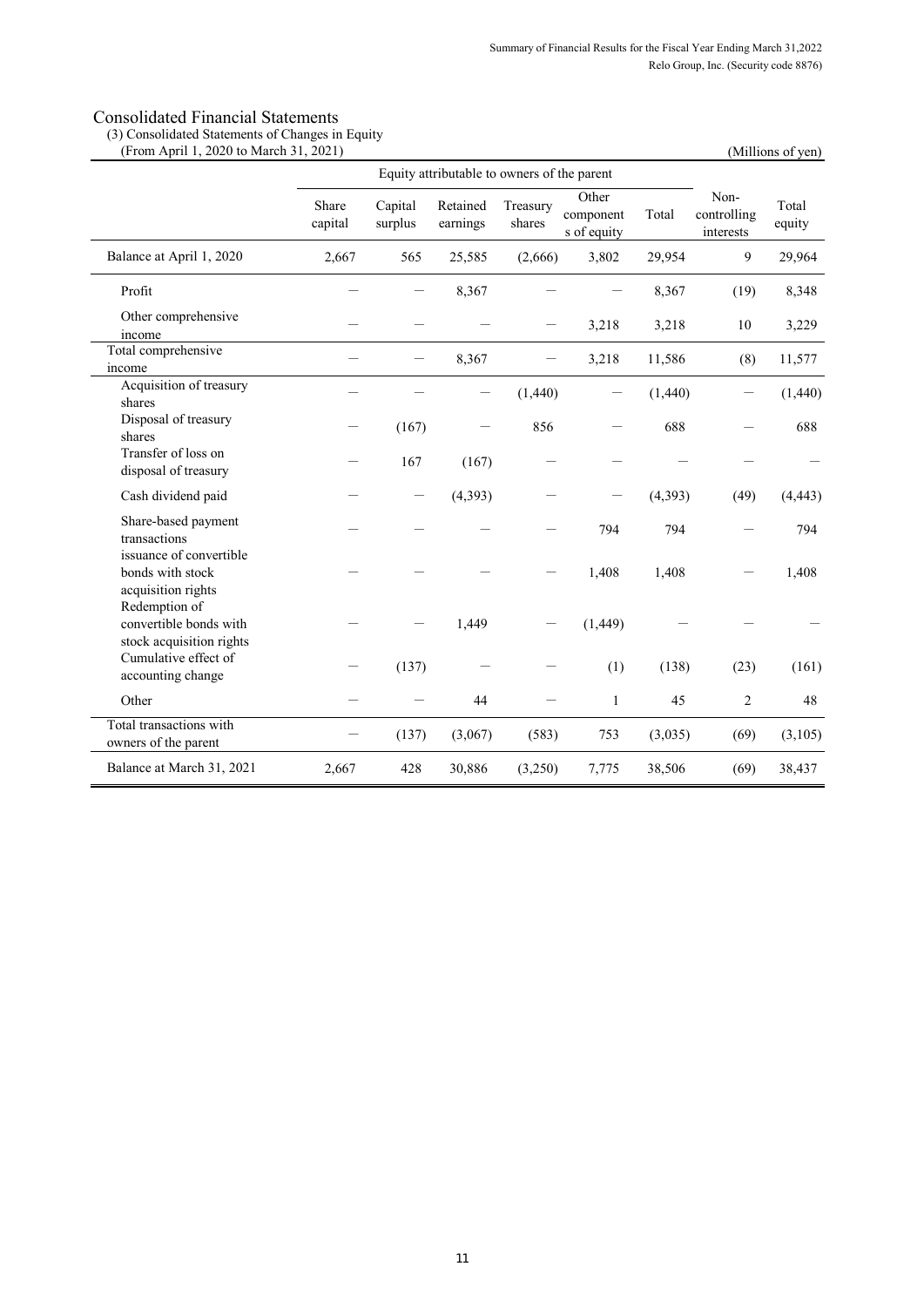(3) Consolidated Statements of Changes in Equity

| (From April 1, 2020 to March 31, 2021)                              |                                             |                          |                      |                    |                                   |          |                                  | (Millions of yen) |
|---------------------------------------------------------------------|---------------------------------------------|--------------------------|----------------------|--------------------|-----------------------------------|----------|----------------------------------|-------------------|
|                                                                     | Equity attributable to owners of the parent |                          |                      |                    |                                   |          |                                  |                   |
|                                                                     | Share<br>capital                            | Capital<br>surplus       | Retained<br>earnings | Treasury<br>shares | Other<br>component<br>s of equity | Total    | Non-<br>controlling<br>interests | Total<br>equity   |
| Balance at April 1, 2020                                            | 2,667                                       | 565                      | 25,585               | (2,666)            | 3,802                             | 29,954   | 9                                | 29,964            |
| Profit                                                              |                                             | —                        | 8,367                |                    | $\qquad \qquad -$                 | 8,367    | (19)                             | 8,348             |
| Other comprehensive<br>income                                       |                                             |                          |                      |                    | 3,218                             | 3,218    | 10                               | 3,229             |
| Total comprehensive<br>income                                       |                                             | $\overline{\phantom{0}}$ | 8,367                |                    | 3,218                             | 11,586   | (8)                              | 11,577            |
| Acquisition of treasury<br>shares                                   |                                             |                          |                      | (1,440)            |                                   | (1,440)  |                                  | (1,440)           |
| Disposal of treasury<br>shares                                      |                                             | (167)                    |                      | 856                |                                   | 688      |                                  | 688               |
| Transfer of loss on<br>disposal of treasury                         |                                             | 167                      | (167)                |                    |                                   |          |                                  |                   |
| Cash dividend paid                                                  |                                             | —                        | (4, 393)             |                    |                                   | (4, 393) | (49)                             | (4, 443)          |
| Share-based payment<br>transactions                                 |                                             |                          |                      |                    | 794                               | 794      |                                  | 794               |
| issuance of convertible<br>bonds with stock<br>acquisition rights   |                                             |                          |                      |                    | 1,408                             | 1,408    |                                  | 1,408             |
| Redemption of<br>convertible bonds with<br>stock acquisition rights |                                             |                          | 1,449                |                    | (1,449)                           |          |                                  |                   |
| Cumulative effect of<br>accounting change                           |                                             | (137)                    |                      |                    | (1)                               | (138)    | (23)                             | (161)             |
| Other                                                               |                                             |                          | 44                   |                    | $\mathbf{1}$                      | 45       | $\overline{c}$                   | 48                |
| Total transactions with<br>owners of the parent                     |                                             | (137)                    | (3,067)              | (583)              | 753                               | (3,035)  | (69)                             | (3,105)           |
| Balance at March 31, 2021                                           | 2,667                                       | 428                      | 30,886               | (3,250)            | 7,775                             | 38,506   | (69)                             | 38,437            |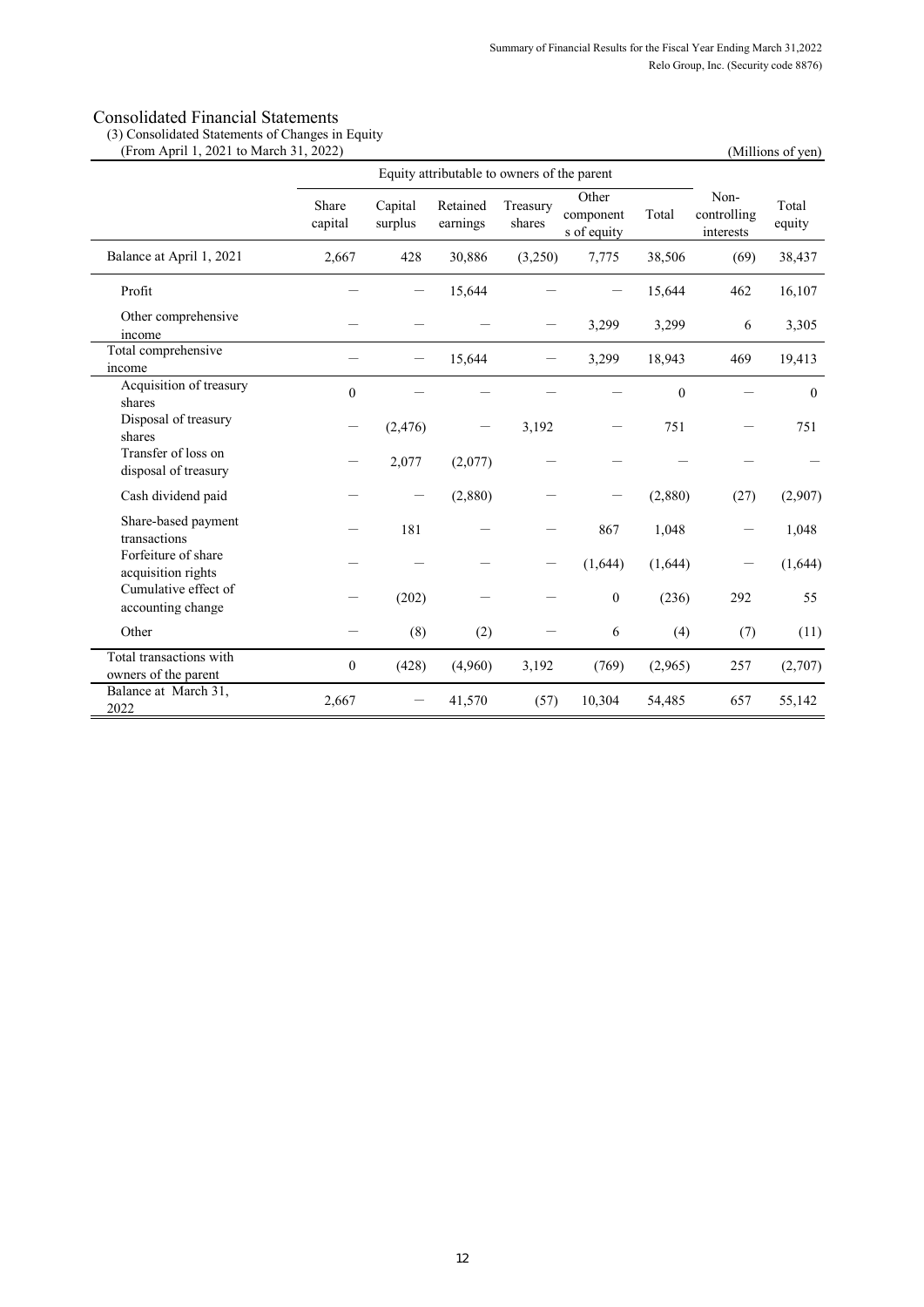(3) Consolidated Statements of Changes in Equity

| (From April 1, 2021 to March 31, 2022)          |                                             |                    |                      |                    | (Millions of yen)                 |              |                                  |                 |
|-------------------------------------------------|---------------------------------------------|--------------------|----------------------|--------------------|-----------------------------------|--------------|----------------------------------|-----------------|
|                                                 | Equity attributable to owners of the parent |                    |                      |                    |                                   |              |                                  |                 |
|                                                 | Share<br>capital                            | Capital<br>surplus | Retained<br>earnings | Treasury<br>shares | Other<br>component<br>s of equity | Total        | Non-<br>controlling<br>interests | Total<br>equity |
| Balance at April 1, 2021                        | 2,667                                       | 428                | 30,886               | (3,250)            | 7,775                             | 38,506       | (69)                             | 38,437          |
| Profit                                          |                                             |                    | 15,644               |                    |                                   | 15,644       | 462                              | 16,107          |
| Other comprehensive<br>income                   |                                             |                    |                      |                    | 3,299                             | 3,299        | 6                                | 3,305           |
| Total comprehensive<br>income                   |                                             |                    | 15,644               |                    | 3,299                             | 18,943       | 469                              | 19,413          |
| Acquisition of treasury<br>shares               | $\mathbf{0}$                                |                    |                      |                    |                                   | $\mathbf{0}$ |                                  | $\mathbf{0}$    |
| Disposal of treasury<br>shares                  |                                             | (2, 476)           |                      | 3,192              |                                   | 751          |                                  | 751             |
| Transfer of loss on<br>disposal of treasury     |                                             | 2,077              | (2,077)              |                    |                                   |              |                                  |                 |
| Cash dividend paid                              |                                             |                    | (2,880)              |                    |                                   | (2,880)      | (27)                             | (2,907)         |
| Share-based payment<br>transactions             |                                             | 181                |                      |                    | 867                               | 1,048        |                                  | 1,048           |
| Forfeiture of share<br>acquisition rights       |                                             |                    |                      |                    | (1,644)                           | (1,644)      |                                  | (1,644)         |
| Cumulative effect of<br>accounting change       |                                             | (202)              |                      |                    | $\boldsymbol{0}$                  | (236)        | 292                              | 55              |
| Other                                           |                                             | (8)                | (2)                  |                    | 6                                 | (4)          | (7)                              | (11)            |
| Total transactions with<br>owners of the parent | $\boldsymbol{0}$                            | (428)              | (4,960)              | 3,192              | (769)                             | (2,965)      | 257                              | (2,707)         |
| Balance at March 31,<br>2022                    | 2,667                                       |                    | 41,570               | (57)               | 10,304                            | 54,485       | 657                              | 55,142          |